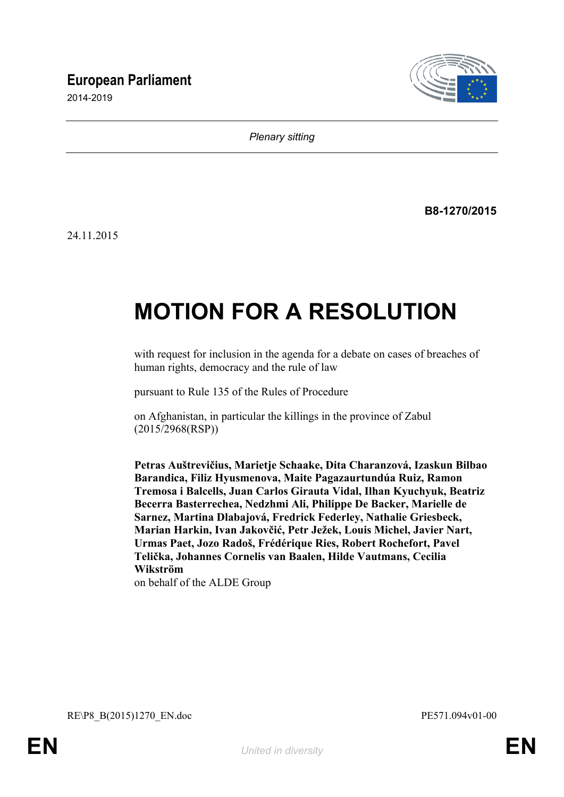## **European Parliament**

2014-2019



*Plenary sitting*

**B8-1270/2015**

24.11.2015

# **MOTION FOR A RESOLUTION**

with request for inclusion in the agenda for a debate on cases of breaches of human rights, democracy and the rule of law

pursuant to Rule 135 of the Rules of Procedure

on Afghanistan, in particular the killings in the province of Zabul (2015/2968(RSP))

**Petras Auštrevičius, Marietje Schaake, Dita Charanzová, Izaskun Bilbao Barandica, Filiz Hyusmenova, Maite Pagazaurtundúa Ruiz, Ramon Tremosa i Balcells, Juan Carlos Girauta Vidal, Ilhan Kyuchyuk, Beatriz Becerra Basterrechea, Nedzhmi Ali, Philippe De Backer, Marielle de Sarnez, Martina Dlabajová, Fredrick Federley, Nathalie Griesbeck, Marian Harkin, Ivan Jakovčić, Petr Ježek, Louis Michel, Javier Nart, Urmas Paet, Jozo Radoš, Frédérique Ries, Robert Rochefort, Pavel Telička, Johannes Cornelis van Baalen, Hilde Vautmans, Cecilia Wikström**

<span id="page-0-0"></span>on behalf of the ALDE Group

<span id="page-0-1"></span>RE\P8\_B(2015)1270\_EN.doc PE571.094v01-00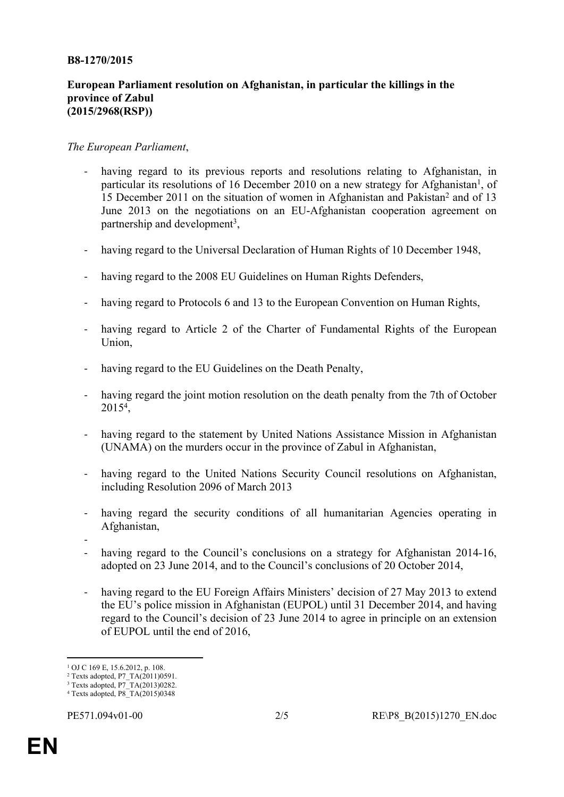#### **B8-1270/2015**

### **European Parliament resolution on Afghanistan, in particular the killings in the province of Zabul (2015/2968(RSP))**

#### *The European Parliament*,

- having regard to its previous reports and resolutions relating to Afghanistan, in particular its resolutions of 16 December 2010 on a new strategy for Afghanistan<sup>1</sup>, of 15 December 2011 on the situation of women in Afghanistan and Pakistan<sup>2</sup> and of 13 June 2013 on the negotiations on an EU-Afghanistan cooperation agreement on partnership and development<sup>3</sup>,
- having regard to the Universal Declaration of Human Rights of 10 December 1948,
- having regard to the 2008 EU Guidelines on Human Rights Defenders,
- having regard to Protocols 6 and 13 to the European Convention on Human Rights,
- having regard to Article 2 of the Charter of Fundamental Rights of the European Union,
- having regard to the EU Guidelines on the Death Penalty,
- having regard the joint motion resolution on the death penalty from the 7th of October 2015<sup>4</sup> ,
- having regard to the statement by United Nations Assistance Mission in Afghanistan (UNAMA) on the murders occur in the province of Zabul in Afghanistan,
- having regard to the United Nations Security Council resolutions on Afghanistan, including Resolution 2096 of March 2013
- having regard the security conditions of all humanitarian Agencies operating in Afghanistan,
- -
- having regard to the Council's conclusions on a strategy for Afghanistan 2014-16, adopted on 23 June 2014, and to the Council's conclusions of 20 October 2014,
- having regard to the EU Foreign Affairs Ministers' decision of 27 May 2013 to extend the EU's police mission in Afghanistan (EUPOL) until 31 December 2014, and having regard to the Council's decision of 23 June 2014 to agree in principle on an extension of EUPOL until the end of 2016,

<sup>&</sup>lt;sup>1</sup> OJ C 169 E, 15.6.2012, p. 108.

<sup>2</sup> Texts adopted, P7\_TA(2011)0591.

<sup>3</sup> Texts adopted, P7\_TA(2013)0282. 4 Texts adopted, [P8\\_TA\(2015\)0348](http://www.europarl.europa.eu/sides/getDoc.do?type=TA&reference=P8-TA-2015-0348&language=EN&ring=P8-RC-2015-0998)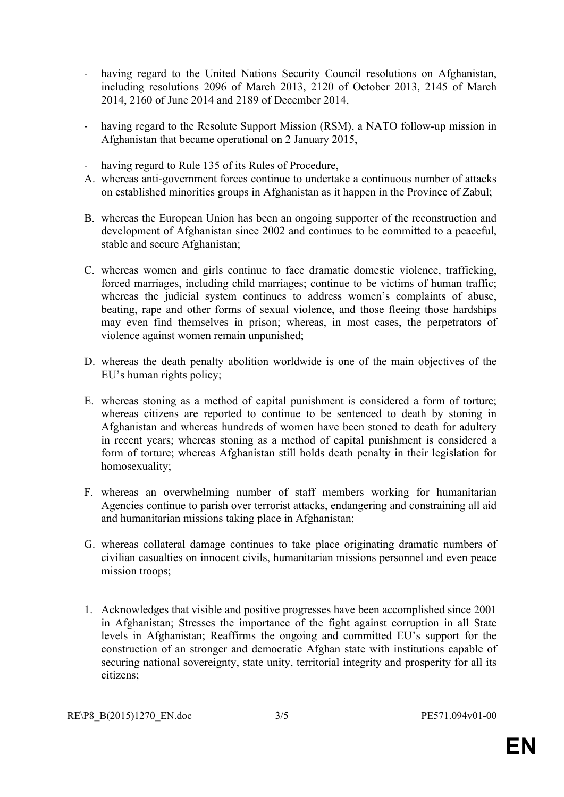- having regard to the United Nations Security Council resolutions on Afghanistan, including resolutions 2096 of March 2013, 2120 of October 2013, 2145 of March 2014, 2160 of June 2014 and 2189 of December 2014,
- having regard to the Resolute Support Mission (RSM), a NATO follow-up mission in Afghanistan that became operational on 2 January 2015,
- having regard to Rule 135 of its Rules of Procedure,
- A. whereas anti-government forces continue to undertake a continuous number of attacks on established minorities groups in Afghanistan as it happen in the Province of Zabul;
- B. whereas the European Union has been an ongoing supporter of the reconstruction and development of Afghanistan since 2002 and continues to be committed to a peaceful, stable and secure Afghanistan;
- C. whereas women and girls continue to face dramatic domestic violence, trafficking, forced marriages, including child marriages; continue to be victims of human traffic; whereas the judicial system continues to address women's complaints of abuse, beating, rape and other forms of sexual violence, and those fleeing those hardships may even find themselves in prison; whereas, in most cases, the perpetrators of violence against women remain unpunished;
- D. whereas the death penalty abolition worldwide is one of the main objectives of the EU's human rights policy;
- E. whereas stoning as a method of capital punishment is considered a form of torture; whereas citizens are reported to continue to be sentenced to death by stoning in Afghanistan and whereas hundreds of women have been stoned to death for adultery in recent years; whereas stoning as a method of capital punishment is considered a form of torture; whereas Afghanistan still holds death penalty in their legislation for homosexuality;
- F. whereas an overwhelming number of staff members working for humanitarian Agencies continue to parish over terrorist attacks, endangering and constraining all aid and humanitarian missions taking place in Afghanistan;
- G. whereas collateral damage continues to take place originating dramatic numbers of civilian casualties on innocent civils, humanitarian missions personnel and even peace mission troops;
- 1. Acknowledges that visible and positive progresses have been accomplished since 2001 in Afghanistan; Stresses the importance of the fight against corruption in all State levels in Afghanistan; Reaffirms the ongoing and committed EU's support for the construction of an stronger and democratic Afghan state with institutions capable of securing national sovereignty, state unity, territorial integrity and prosperity for all its citizens;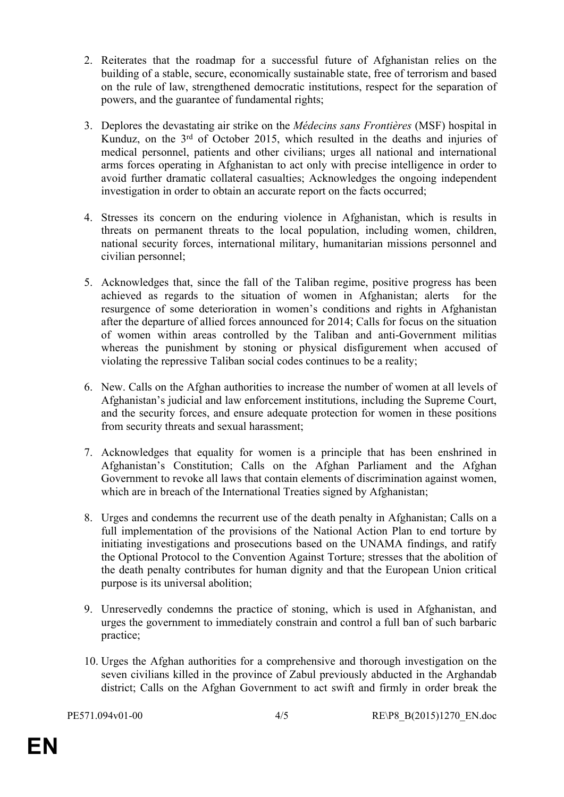- 2. Reiterates that the roadmap for a successful future of Afghanistan relies on the building of a stable, secure, economically sustainable state, free of terrorism and based on the rule of law, strengthened democratic institutions, respect for the separation of powers, and the guarantee of fundamental rights;
- 3. Deplores the devastating air strike on the *Médecins sans Frontières* (MSF) hospital in Kunduz, on the 3rd of October 2015, which resulted in the deaths and injuries of medical personnel, patients and other civilians; urges all national and international arms forces operating in Afghanistan to act only with precise intelligence in order to avoid further dramatic collateral casualties; Acknowledges the ongoing independent investigation in order to obtain an accurate report on the facts occurred;
- 4. Stresses its concern on the enduring violence in Afghanistan, which is results in threats on permanent threats to the local population, including women, children, national security forces, international military, humanitarian missions personnel and civilian personnel;
- 5. Acknowledges that, since the fall of the Taliban regime, positive progress has been achieved as regards to the situation of women in Afghanistan; alerts for the resurgence of some deterioration in women's conditions and rights in Afghanistan after the departure of allied forces announced for 2014; Calls for focus on the situation of women within areas controlled by the Taliban and anti-Government militias whereas the punishment by stoning or physical disfigurement when accused of violating the repressive Taliban social codes continues to be a reality;
- 6. New. Calls on the Afghan authorities to increase the number of women at all levels of Afghanistan's judicial and law enforcement institutions, including the Supreme Court, and the security forces, and ensure adequate protection for women in these positions from security threats and sexual harassment;
- 7. Acknowledges that equality for women is a principle that has been enshrined in Afghanistan's Constitution; Calls on the Afghan Parliament and the Afghan Government to revoke all laws that contain elements of discrimination against women, which are in breach of the International Treaties signed by Afghanistan;
- 8. Urges and condemns the recurrent use of the death penalty in Afghanistan; Calls on a full implementation of the provisions of the National Action Plan to end torture by initiating investigations and prosecutions based on the UNAMA findings, and ratify the Optional Protocol to the Convention Against Torture; stresses that the abolition of the death penalty contributes for human dignity and that the European Union critical purpose is its universal abolition;
- 9. Unreservedly condemns the practice of stoning, which is used in Afghanistan, and urges the government to immediately constrain and control a full ban of such barbaric practice;
- 10. Urges the Afghan authorities for a comprehensive and thorough investigation on the seven civilians killed in the province of Zabul previously abducted in the Arghandab district; Calls on the Afghan Government to act swift and firmly in order break the